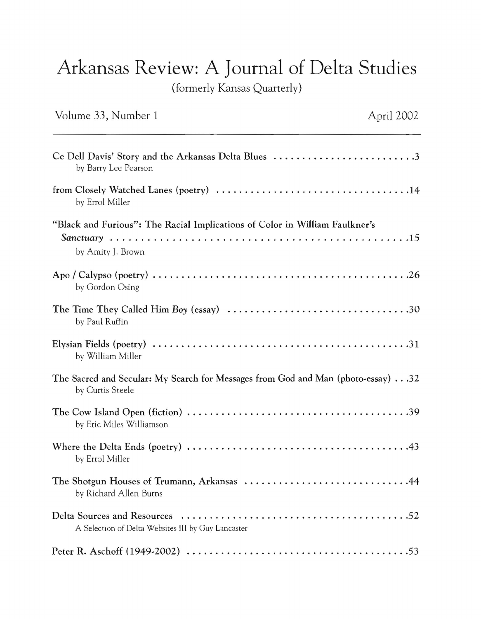## Arkansas Review: A Journal of Delta Studies

(formerly Kansas Quarterly)

| Volume 33, Number 1                                                                                 | April 2002 |
|-----------------------------------------------------------------------------------------------------|------------|
| Ce Dell Davis' Story and the Arkansas Delta Blues 3<br>by Barry Lee Pearson                         |            |
| by Errol Miller                                                                                     |            |
| "Black and Furious": The Racial Implications of Color in William Faulkner's<br>by Amity J. Brown    |            |
| by Gordon Osing                                                                                     |            |
| by Paul Ruffin                                                                                      |            |
| by William Miller                                                                                   |            |
| The Sacred and Secular: My Search for Messages from God and Man (photo-essay)32<br>by Curtis Steele |            |
| by Eric Miles Williamson                                                                            |            |
| by Errol Miller                                                                                     |            |
| The Shotgun Houses of Trumann, Arkansas 44<br>by Richard Allen Burns                                |            |
| A Selection of Delta Websites III by Guy Lancaster                                                  |            |
|                                                                                                     |            |